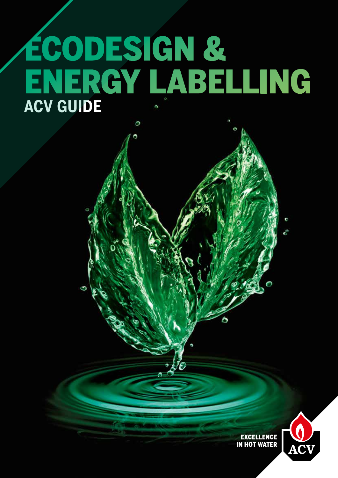# ECODESIGN & ENERGY LABELLING **ACV GUIDE**

Ο

**EXCELLENCE IN HOT WATER** 

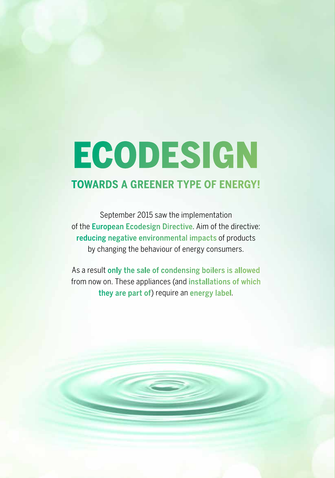# **ECODESIGN**

### **TOWARDS A GREENER TYPE OF ENERGY!**

September 2015 saw the implementation of the European Ecodesign Directive. Aim of the directive: reducing negative environmental impacts of products by changing the behaviour of energy consumers.

As a result only the sale of condensing boilers is allowed from now on. These appliances (and installations of which they are part of) require an energy label.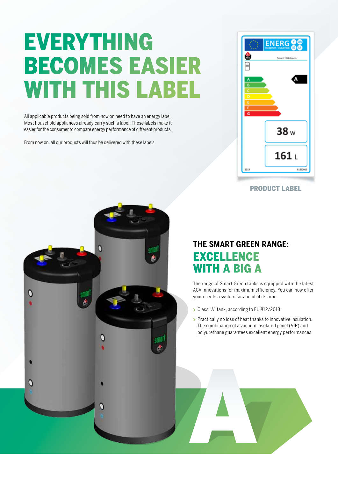## EVERYTHING BECOMES EASIER WITH THIS LABEL

All applicable products being sold from now on need to have an energy label. Most household appliances already carry such a label. These labels make it easier for the consumer to compare energy performance of different products.

From now on, all our products will thus be delivered with these labels.



PRODUCT LABEL



### **THE SMART GREEN RANGE:**  EXCELLENCE WITH A BIG A

The range of Smart Green tanks is equipped with the latest ACV innovations for maximum efficiency. You can now offer your clients a system far ahead of its time.

- Class "A" tank, according to EU 812/2013.
- **Practically no loss of heat thanks to innovative insulation.** The combination of a vacuum insulated panel (VIP) and polyurethane guarantees excellent energy performances.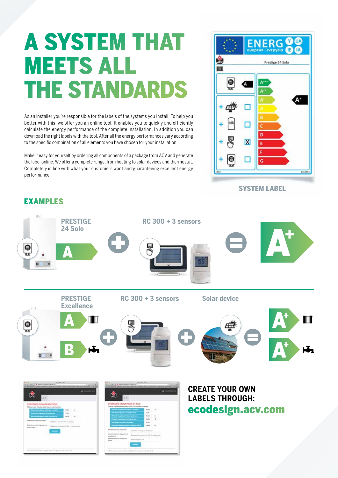## A SYSTEM THAT MEETS ALL THE STANDARDS

As an installer you're responsible for the labels of the systems you install. To help you better with this, we offer you an online tool. It enables you to quickly and efficiently calculate the energy performance of the complete installation. In addition you can download the right labels with the tool. After all the energy performances vary according to the specific combination of all elements you have chosen for your installation.

Make it easy for yourself by ordering all components of a package from ACV and generate the label online. We offer a complete range, from heating to solar devices and thermostat. Completely in line with what your customers want and guaranteeing excellent energy performance.

### EXAMPLES



SYSTEM LABEL

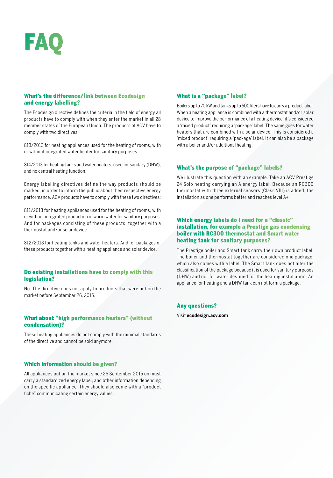# FAQ

#### What's the difference/link between Ecodesign and energy labelling?

The Ecodesign directive defines the criteria in the field of energy all products have to comply with when they enter the market in all 28 member states of the European Union. The products of ACV have to comply with two directives:

813/2013 for heating appliances used for the heating of rooms, with or without integrated water heater for sanitary purposes.

814/2013 for heating tanks and water heaters, used for sanitary (DHW), and no central heating function.

Energy labelling directives define the way products should be marked, in order to inform the public about their respective energy performance. ACV products have to comply with these two directives:

811/2013 for heating appliances used for the heating of rooms, with or without integrated production of warm water for sanitary purposes. And for packages consisting of these products, together with a thermostat and/or solar device.

812/2013 for heating tanks and water heaters. And for packages of these products together with a heating appliance and solar device.

#### Do existing installations have to comply with this legislation?

No. The directive does not apply to products that were put on the market before September 26, 2015.

#### What about "high performance heaters" (without condensation)?

These heating appliances do not comply with the minimal standards of the directive and cannot be sold anymore.

#### Which information should be given?

All appliances put on the market since 26 September 2015 on must carry a standardized energy label, and other information depending on the specific appliance. They should also come with a "product fiche" communicating certain energy values.

#### What is a "package" label?

Boilers up to 70 kW and tanks up to 500 liters have to carry a product label. When a heating appliance is combined with a thermostat and/or solar device to improve the performance of a heating device, it's considered a 'mixed product' requiring a 'package' label. The same goes for water heaters that are combined with a solar device. This is considered a 'mixed product' requiring a 'package' label. It can also be a package with a boiler and/or additional heating.

#### What's the purpose of "package" labels?

We illustrate this question with an example. Take an ACV Prestige 24 Solo heating carrying an A energy label. Because an RC300 thermostat with three external sensors (Class VIII) is added, the installation as one performs better and reaches level A+.

#### Which energy labels do I need for a "classic" installation, for example a Prestige gas condensing boiler with RC300 thermostat and Smart water heating tank for sanitary purposes?

The Prestige boiler and Smart tank carry their own product label. The boiler and thermostat together are considered one package, which also comes with a label. The Smart tank does not alter the classification of the package because it is used for sanitary purposes (DHW) and not for water destined for the heating installation. An appliance for heating and a DHW tank can not form a package.

#### Any questions?

Visit **ecodesign.acv.com**